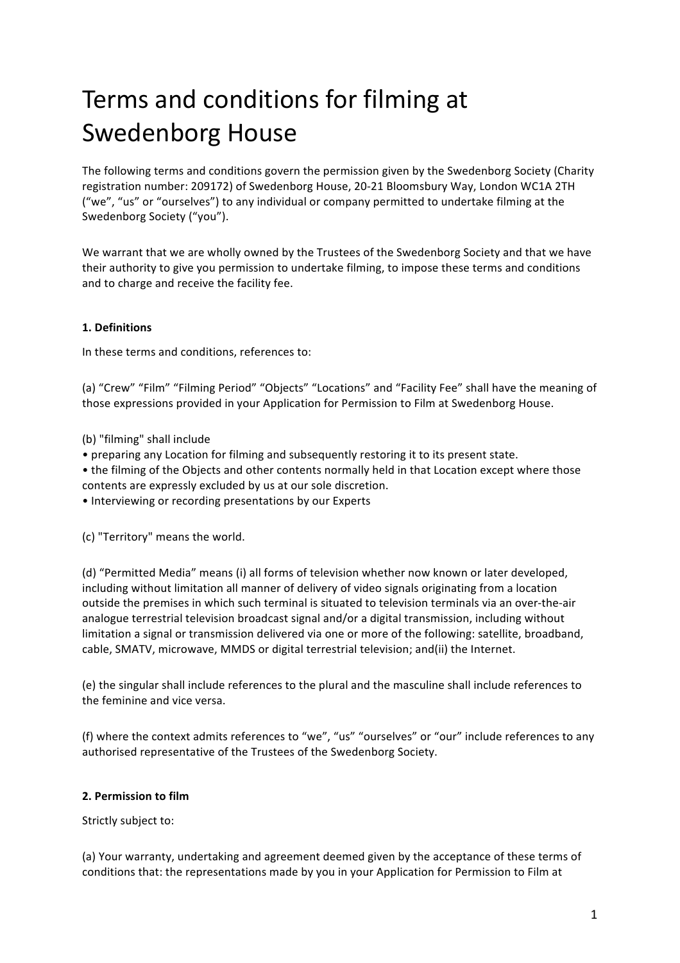# Terms and conditions for filming at Swedenborg House

The following terms and conditions govern the permission given by the Swedenborg Society (Charity registration number: 209172) of Swedenborg House, 20-21 Bloomsbury Way, London WC1A 2TH ("we", "us" or "ourselves") to any individual or company permitted to undertake filming at the Swedenborg Society ("you").

We warrant that we are wholly owned by the Trustees of the Swedenborg Society and that we have their authority to give you permission to undertake filming, to impose these terms and conditions and to charge and receive the facility fee.

# **1. Definitions**

In these terms and conditions, references to:

(a) "Crew" "Film" "Filming Period" "Objects" "Locations" and "Facility Fee" shall have the meaning of those expressions provided in your Application for Permission to Film at Swedenborg House.

(b) "filming" shall include

- preparing any Location for filming and subsequently restoring it to its present state.
- the filming of the Objects and other contents normally held in that Location except where those contents are expressly excluded by us at our sole discretion.
- Interviewing or recording presentations by our Experts

(c) "Territory" means the world.

(d) "Permitted Media" means (i) all forms of television whether now known or later developed, including without limitation all manner of delivery of video signals originating from a location outside the premises in which such terminal is situated to television terminals via an over-the-air analogue terrestrial television broadcast signal and/or a digital transmission, including without limitation a signal or transmission delivered via one or more of the following: satellite, broadband, cable, SMATV, microwave, MMDS or digital terrestrial television; and(ii) the Internet.

(e) the singular shall include references to the plural and the masculine shall include references to the feminine and vice versa.

(f) where the context admits references to "we", "us" "ourselves" or "our" include references to any authorised representative of the Trustees of the Swedenborg Society.

#### **2. Permission to film**

Strictly subject to:

(a) Your warranty, undertaking and agreement deemed given by the acceptance of these terms of conditions that: the representations made by you in your Application for Permission to Film at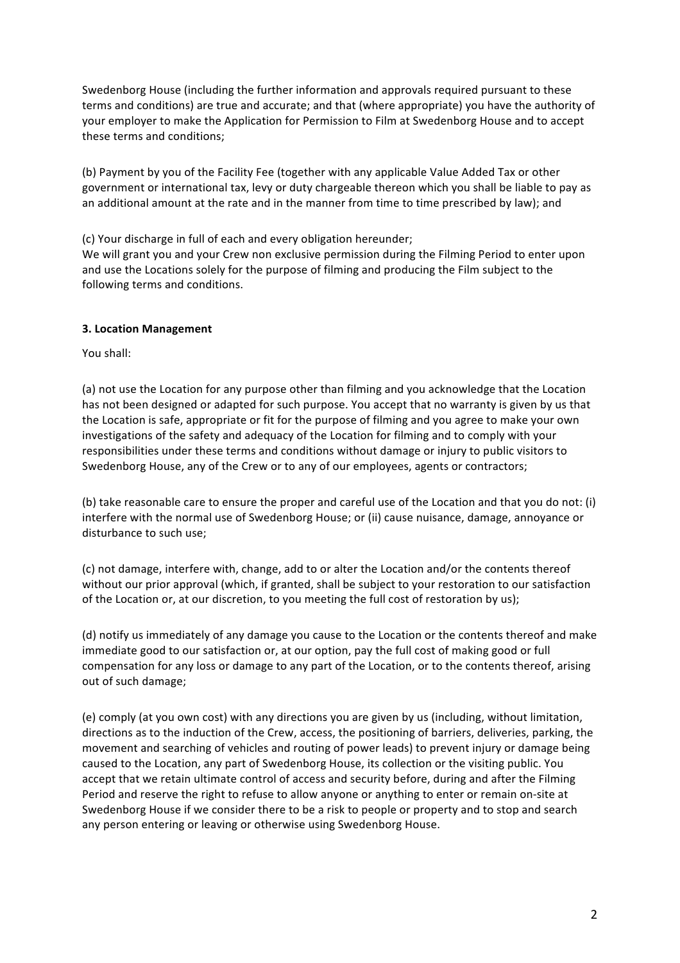Swedenborg House (including the further information and approvals required pursuant to these terms and conditions) are true and accurate; and that (where appropriate) you have the authority of your employer to make the Application for Permission to Film at Swedenborg House and to accept these terms and conditions:

(b) Payment by you of the Facility Fee (together with any applicable Value Added Tax or other government or international tax, levy or duty chargeable thereon which you shall be liable to pay as an additional amount at the rate and in the manner from time to time prescribed by law); and

(c) Your discharge in full of each and every obligation hereunder;

We will grant you and your Crew non exclusive permission during the Filming Period to enter upon and use the Locations solely for the purpose of filming and producing the Film subject to the following terms and conditions.

#### **3. Location Management**

You shall:

(a) not use the Location for any purpose other than filming and you acknowledge that the Location has not been designed or adapted for such purpose. You accept that no warranty is given by us that the Location is safe, appropriate or fit for the purpose of filming and you agree to make your own investigations of the safety and adequacy of the Location for filming and to comply with your responsibilities under these terms and conditions without damage or injury to public visitors to Swedenborg House, any of the Crew or to any of our employees, agents or contractors;

(b) take reasonable care to ensure the proper and careful use of the Location and that you do not: (i) interfere with the normal use of Swedenborg House; or (ii) cause nuisance, damage, annoyance or disturbance to such use;

(c) not damage, interfere with, change, add to or alter the Location and/or the contents thereof without our prior approval (which, if granted, shall be subject to your restoration to our satisfaction of the Location or, at our discretion, to you meeting the full cost of restoration by us);

(d) notify us immediately of any damage you cause to the Location or the contents thereof and make immediate good to our satisfaction or, at our option, pay the full cost of making good or full compensation for any loss or damage to any part of the Location, or to the contents thereof, arising out of such damage;

(e) comply (at you own cost) with any directions you are given by us (including, without limitation, directions as to the induction of the Crew, access, the positioning of barriers, deliveries, parking, the movement and searching of vehicles and routing of power leads) to prevent injury or damage being caused to the Location, any part of Swedenborg House, its collection or the visiting public. You accept that we retain ultimate control of access and security before, during and after the Filming Period and reserve the right to refuse to allow anyone or anything to enter or remain on-site at Swedenborg House if we consider there to be a risk to people or property and to stop and search any person entering or leaving or otherwise using Swedenborg House.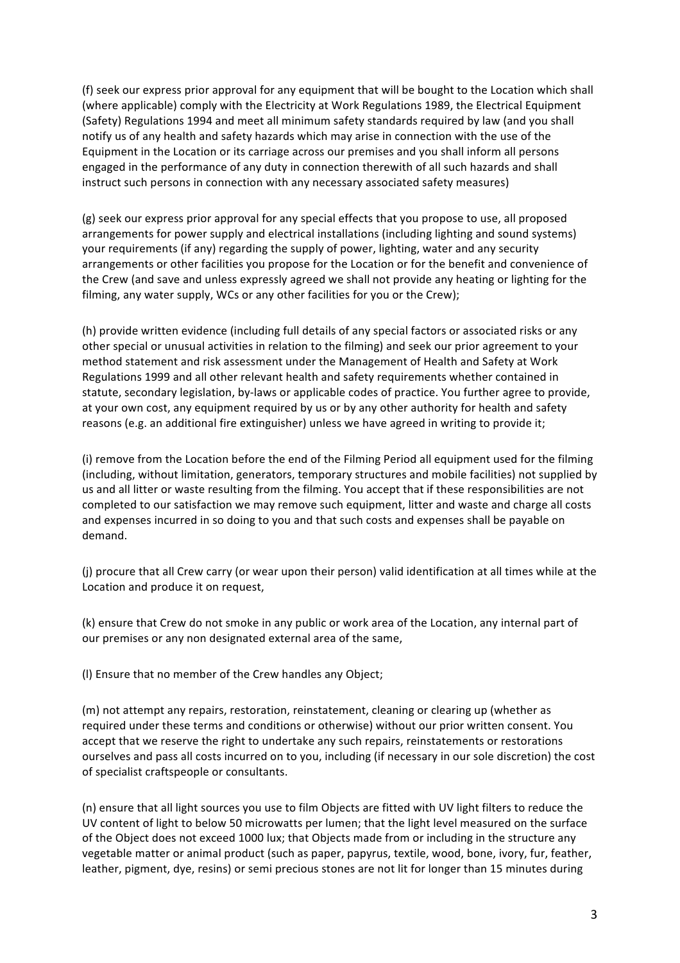(f) seek our express prior approval for any equipment that will be bought to the Location which shall (where applicable) comply with the Electricity at Work Regulations 1989, the Electrical Equipment (Safety) Regulations 1994 and meet all minimum safety standards required by law (and you shall notify us of any health and safety hazards which may arise in connection with the use of the Equipment in the Location or its carriage across our premises and you shall inform all persons engaged in the performance of any duty in connection therewith of all such hazards and shall instruct such persons in connection with any necessary associated safety measures)

(g) seek our express prior approval for any special effects that you propose to use, all proposed arrangements for power supply and electrical installations (including lighting and sound systems) your requirements (if any) regarding the supply of power, lighting, water and any security arrangements or other facilities you propose for the Location or for the benefit and convenience of the Crew (and save and unless expressly agreed we shall not provide any heating or lighting for the filming, any water supply, WCs or any other facilities for you or the Crew);

(h) provide written evidence (including full details of any special factors or associated risks or any other special or unusual activities in relation to the filming) and seek our prior agreement to your method statement and risk assessment under the Management of Health and Safety at Work Regulations 1999 and all other relevant health and safety requirements whether contained in statute, secondary legislation, by-laws or applicable codes of practice. You further agree to provide, at your own cost, any equipment required by us or by any other authority for health and safety reasons (e.g. an additional fire extinguisher) unless we have agreed in writing to provide it;

(i) remove from the Location before the end of the Filming Period all equipment used for the filming (including, without limitation, generators, temporary structures and mobile facilities) not supplied by us and all litter or waste resulting from the filming. You accept that if these responsibilities are not completed to our satisfaction we may remove such equipment, litter and waste and charge all costs and expenses incurred in so doing to you and that such costs and expenses shall be payable on demand.

(i) procure that all Crew carry (or wear upon their person) valid identification at all times while at the Location and produce it on request,

(k) ensure that Crew do not smoke in any public or work area of the Location, any internal part of our premises or any non designated external area of the same,

(I) Ensure that no member of the Crew handles any Object;

(m) not attempt any repairs, restoration, reinstatement, cleaning or clearing up (whether as required under these terms and conditions or otherwise) without our prior written consent. You accept that we reserve the right to undertake any such repairs, reinstatements or restorations ourselves and pass all costs incurred on to you, including (if necessary in our sole discretion) the cost of specialist craftspeople or consultants.

(n) ensure that all light sources you use to film Objects are fitted with UV light filters to reduce the UV content of light to below 50 microwatts per lumen; that the light level measured on the surface of the Object does not exceed 1000 lux; that Objects made from or including in the structure any vegetable matter or animal product (such as paper, papyrus, textile, wood, bone, ivory, fur, feather, leather, pigment, dye, resins) or semi precious stones are not lit for longer than 15 minutes during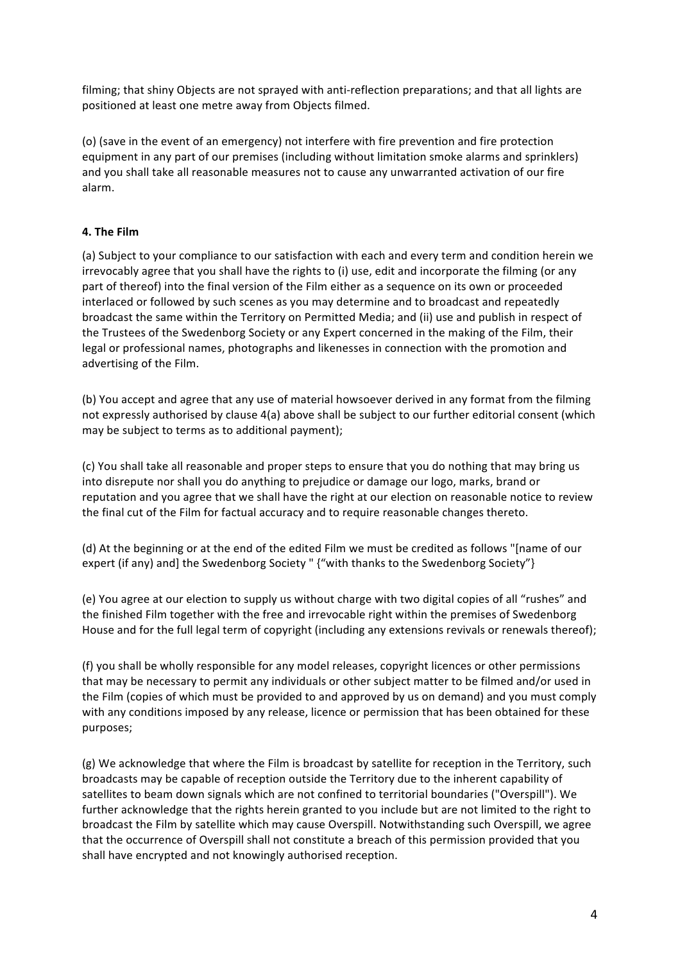filming; that shiny Objects are not sprayed with anti-reflection preparations; and that all lights are positioned at least one metre away from Objects filmed.

(o) (save in the event of an emergency) not interfere with fire prevention and fire protection equipment in any part of our premises (including without limitation smoke alarms and sprinklers) and you shall take all reasonable measures not to cause any unwarranted activation of our fire alarm.

# **4. The Film**

(a) Subject to your compliance to our satisfaction with each and every term and condition herein we irrevocably agree that you shall have the rights to (i) use, edit and incorporate the filming (or any part of thereof) into the final version of the Film either as a sequence on its own or proceeded interlaced or followed by such scenes as you may determine and to broadcast and repeatedly broadcast the same within the Territory on Permitted Media; and (ii) use and publish in respect of the Trustees of the Swedenborg Society or any Expert concerned in the making of the Film, their legal or professional names, photographs and likenesses in connection with the promotion and advertising of the Film.

(b) You accept and agree that any use of material howsoever derived in any format from the filming not expressly authorised by clause 4(a) above shall be subject to our further editorial consent (which may be subject to terms as to additional payment);

(c) You shall take all reasonable and proper steps to ensure that you do nothing that may bring us into disrepute nor shall you do anything to prejudice or damage our logo, marks, brand or reputation and you agree that we shall have the right at our election on reasonable notice to review the final cut of the Film for factual accuracy and to require reasonable changes thereto.

(d) At the beginning or at the end of the edited Film we must be credited as follows "[name of our expert (if any) and] the Swedenborg Society " {"with thanks to the Swedenborg Society"}

(e) You agree at our election to supply us without charge with two digital copies of all "rushes" and the finished Film together with the free and irrevocable right within the premises of Swedenborg House and for the full legal term of copyright (including any extensions revivals or renewals thereof);

(f) you shall be wholly responsible for any model releases, copyright licences or other permissions that may be necessary to permit any individuals or other subject matter to be filmed and/or used in the Film (copies of which must be provided to and approved by us on demand) and you must comply with any conditions imposed by any release, licence or permission that has been obtained for these purposes;

(g) We acknowledge that where the Film is broadcast by satellite for reception in the Territory, such broadcasts may be capable of reception outside the Territory due to the inherent capability of satellites to beam down signals which are not confined to territorial boundaries ("Overspill"). We further acknowledge that the rights herein granted to you include but are not limited to the right to broadcast the Film by satellite which may cause Overspill. Notwithstanding such Overspill, we agree that the occurrence of Overspill shall not constitute a breach of this permission provided that you shall have encrypted and not knowingly authorised reception.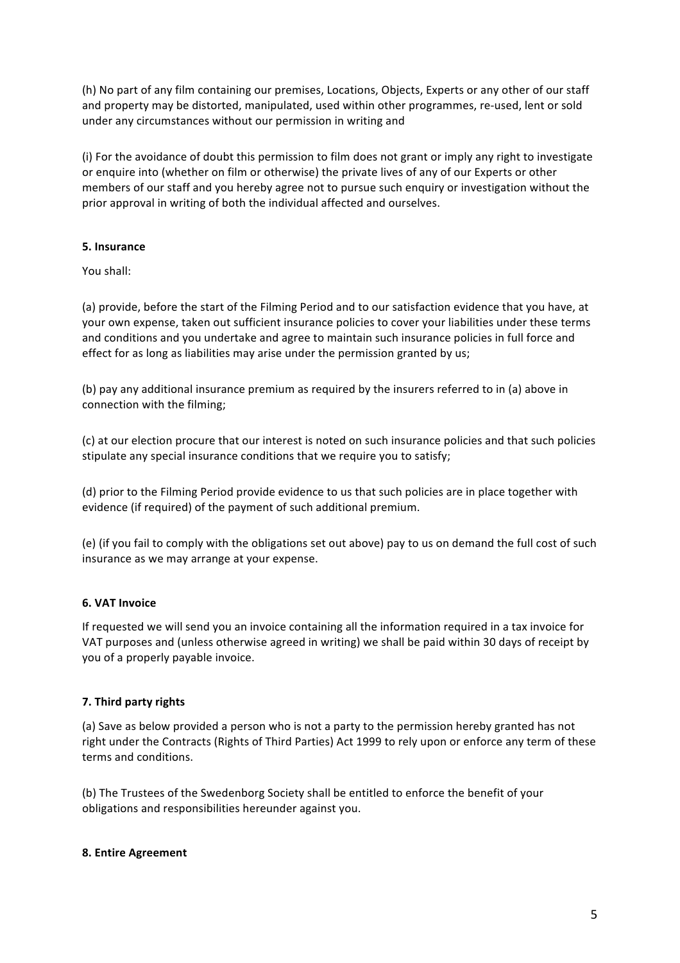(h) No part of any film containing our premises, Locations, Objects, Experts or any other of our staff and property may be distorted, manipulated, used within other programmes, re-used, lent or sold under any circumstances without our permission in writing and

(i) For the avoidance of doubt this permission to film does not grant or imply any right to investigate or enquire into (whether on film or otherwise) the private lives of any of our Experts or other members of our staff and you hereby agree not to pursue such enquiry or investigation without the prior approval in writing of both the individual affected and ourselves.

# **5. Insurance**

You shall:

(a) provide, before the start of the Filming Period and to our satisfaction evidence that you have, at your own expense, taken out sufficient insurance policies to cover your liabilities under these terms and conditions and you undertake and agree to maintain such insurance policies in full force and effect for as long as liabilities may arise under the permission granted by us;

(b) pay any additional insurance premium as required by the insurers referred to in (a) above in connection with the filming;

(c) at our election procure that our interest is noted on such insurance policies and that such policies stipulate any special insurance conditions that we require you to satisfy;

(d) prior to the Filming Period provide evidence to us that such policies are in place together with evidence (if required) of the payment of such additional premium.

(e) (if you fail to comply with the obligations set out above) pay to us on demand the full cost of such insurance as we may arrange at your expense.

# **6. VAT Invoice**

If requested we will send you an invoice containing all the information required in a tax invoice for VAT purposes and (unless otherwise agreed in writing) we shall be paid within 30 days of receipt by you of a properly payable invoice.

# **7. Third party rights**

(a) Save as below provided a person who is not a party to the permission hereby granted has not right under the Contracts (Rights of Third Parties) Act 1999 to rely upon or enforce any term of these terms and conditions.

(b) The Trustees of the Swedenborg Society shall be entitled to enforce the benefit of your obligations and responsibilities hereunder against you.

# **8. Entire Agreement**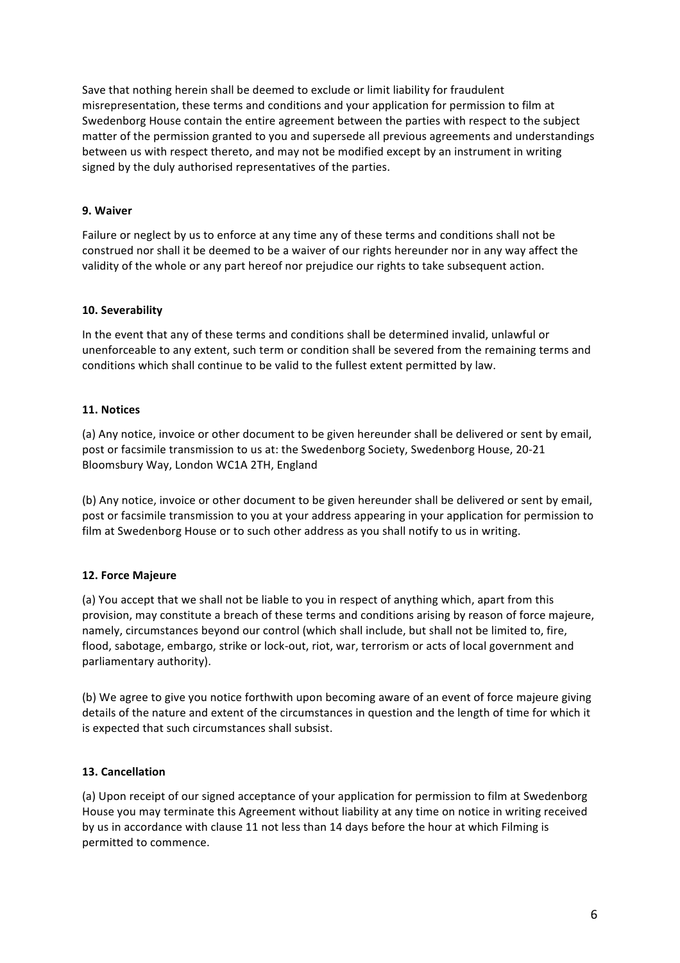Save that nothing herein shall be deemed to exclude or limit liability for fraudulent misrepresentation, these terms and conditions and your application for permission to film at Swedenborg House contain the entire agreement between the parties with respect to the subject matter of the permission granted to you and supersede all previous agreements and understandings between us with respect thereto, and may not be modified except by an instrument in writing signed by the duly authorised representatives of the parties.

### **9. Waiver**

Failure or neglect by us to enforce at any time any of these terms and conditions shall not be construed nor shall it be deemed to be a waiver of our rights hereunder nor in any way affect the validity of the whole or any part hereof nor prejudice our rights to take subsequent action.

### **10. Severability**

In the event that any of these terms and conditions shall be determined invalid, unlawful or unenforceable to any extent, such term or condition shall be severed from the remaining terms and conditions which shall continue to be valid to the fullest extent permitted by law.

### **11. Notices**

(a) Any notice, invoice or other document to be given hereunder shall be delivered or sent by email, post or facsimile transmission to us at: the Swedenborg Society, Swedenborg House, 20-21 Bloomsbury Way, London WC1A 2TH, England

(b) Any notice, invoice or other document to be given hereunder shall be delivered or sent by email, post or facsimile transmission to you at your address appearing in your application for permission to film at Swedenborg House or to such other address as you shall notify to us in writing.

# **12. Force Majeure**

(a) You accept that we shall not be liable to you in respect of anything which, apart from this provision, may constitute a breach of these terms and conditions arising by reason of force majeure, namely, circumstances beyond our control (which shall include, but shall not be limited to, fire, flood, sabotage, embargo, strike or lock-out, riot, war, terrorism or acts of local government and parliamentary authority).

(b) We agree to give you notice forthwith upon becoming aware of an event of force majeure giving details of the nature and extent of the circumstances in question and the length of time for which it is expected that such circumstances shall subsist.

#### **13. Cancellation**

(a) Upon receipt of our signed acceptance of your application for permission to film at Swedenborg House you may terminate this Agreement without liability at any time on notice in writing received by us in accordance with clause 11 not less than 14 days before the hour at which Filming is permitted to commence.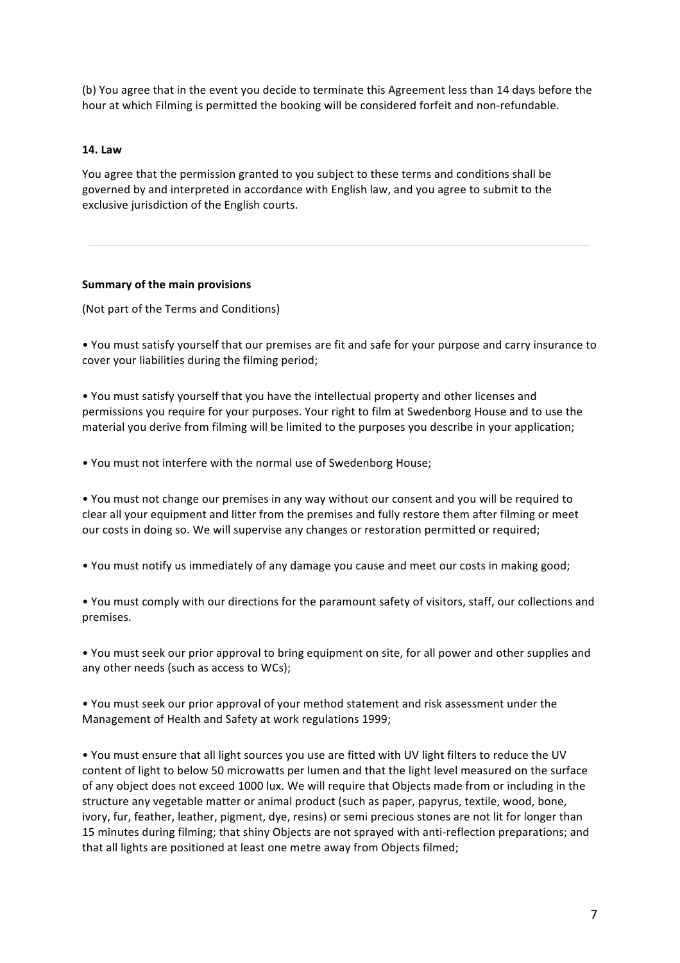(b) You agree that in the event you decide to terminate this Agreement less than 14 days before the hour at which Filming is permitted the booking will be considered forfeit and non-refundable.

#### **14. Law**

You agree that the permission granted to you subject to these terms and conditions shall be governed by and interpreted in accordance with English law, and you agree to submit to the exclusive jurisdiction of the English courts.

#### **Summary of the main provisions**

(Not part of the Terms and Conditions)

• You must satisfy yourself that our premises are fit and safe for your purpose and carry insurance to cover your liabilities during the filming period;

• You must satisfy yourself that you have the intellectual property and other licenses and permissions you require for your purposes. Your right to film at Swedenborg House and to use the material you derive from filming will be limited to the purposes you describe in your application;

• You must not interfere with the normal use of Swedenborg House;

• You must not change our premises in any way without our consent and you will be required to clear all your equipment and litter from the premises and fully restore them after filming or meet our costs in doing so. We will supervise any changes or restoration permitted or required;

• You must notify us immediately of any damage you cause and meet our costs in making good;

• You must comply with our directions for the paramount safety of visitors, staff, our collections and premises. 

• You must seek our prior approval to bring equipment on site, for all power and other supplies and any other needs (such as access to WCs);

• You must seek our prior approval of your method statement and risk assessment under the Management of Health and Safety at work regulations 1999;

• You must ensure that all light sources you use are fitted with UV light filters to reduce the UV content of light to below 50 microwatts per lumen and that the light level measured on the surface of any object does not exceed 1000 lux. We will require that Objects made from or including in the structure any vegetable matter or animal product (such as paper, papyrus, textile, wood, bone, ivory, fur, feather, leather, pigment, dye, resins) or semi precious stones are not lit for longer than 15 minutes during filming; that shiny Objects are not sprayed with anti-reflection preparations; and that all lights are positioned at least one metre away from Objects filmed;